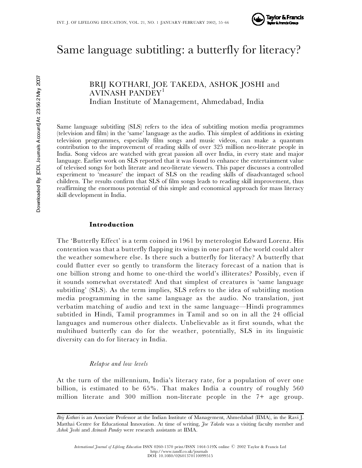

# Same language subtitling: a butterfly for literacy?

BRIJ KOTHARI, JOE TAKEDA, ASHOK JOSHI and AVINASH PANDEY<sup>1</sup> Indian Institute of Management, Ahmedabad, India

Same language subtitling (SLS) refers to the idea of subtitling motion media programmes (television and film) in the 'same' language as the audio. This simplest of additions in existin g television programmes, especially film songs and music videos, can make a quantum contribution to the improvement of reading skills of over 325 million neo-literate people in India. Song videos are watched with great passion all over India, in every state and major language. Earlier work on SLS reported that it was found to enhance the entertainment value of televised songs for both literate and neo-literate viewers. This paper discusses a controlled experiment to 'measure' the impact of SLS on the reading skills of disadvantaged school children. The results confirm that SLS of film songs leads to reading skill improvement, thus reaffirming the enormous potential of this simple and economical approach for mass literacy skill development in India.

# **Introduction**

The 'Butterfly Effect' is a term coined in 1961 by meterologist Edward Lorenz. His contention was that a butterfly flapping its wings in one part of the world could alter the weather somewhere else. Is there such a butterfly for literacy? A butterfly that could flutter ever so gently to transform the literacy forecast of a nation that is one billion strong and home to one-third the world's illiterates? Possibly, even if it sounds somewhat overstated! And that simplest of creatures is 'same language subtitling' (SLS). As the term implies, SLS refers to the idea of subtitling motion media programming in the same language as the audio. No translation, just verbatim matching of audio and text in the same language—Hindi programmes subtitled in Hindi, Tamil programmes in Tamil and so on in all the 24 official languages and numerous other dialects. Unbelievable as it first sounds, what the multihued butterfly can do for the weather, potentially, SLS in its linguistic diversity can do for literacy in India.

# *Relapse and low levels*

At the turn of the millennium, India's literacy rate, for a population of over one billion, is estimated to be 65%. That makes India a country of roughly 560 million literate and 300 million non-literate people in the 7+ age group.

*Brij Kothari* is an Associate Professor at the Indian Institute of Management, Ahmedabad (IIMA), in the Ravi J. Matthai Centre for Educational Innovation. At time of writing, *Joe Takeda* was a visiting faculty member and *Ashok Joshi* and *Avinash Pandey* were research assistants at IIMA.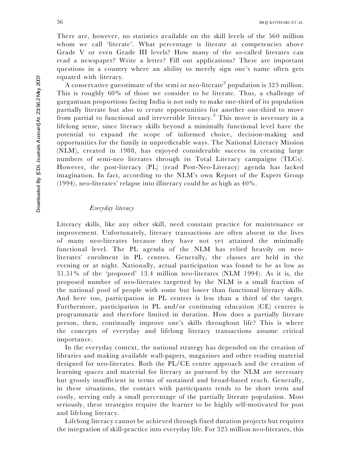There are, however, no statistics available on the skill levels of the 560 million whom we call 'literate'. What percentage is literate at competencies above Grade V or even Grade III levels? How many of the so-called literates can read a newspaper? Write a letter? Fill out applications? These are important questions in a country where an ability to merely sign one's name often gets equated with literacy.

A conservative guesstimate of the semi or neo-literate<sup>2</sup> population is 325 million. This is roughly 60% of those we consider to be literate. Thus, a challenge of gargantuan proportions facing India is not only to make one-third of its population partially literate but also to create opportunities for another one-third to move from partial to functional and irreversible literacy.<sup>3</sup> This move is necessary in a lifelong sense, since literacy skills beyond a minimally functional level have the potential to expand the scope of informed choice, decision-making and opportunities for the family in unpredictable ways. The National Literacy Mission (NLM), created in 1988, has enjoyed considerable success in creating large numbers of semi-neo literates through its Total Literacy campaigns (TLCs). However, the post-literacy (PL) (read Post-Neo-Literacy) agenda has lacked imagination. In fact, according to the NLM's own Report of the Expert Group (1994), neo-literates' relapse into illiteracy could be as high as 40%.

# *Everyday literacy*

Literacy skills, like any other skill, need constant practice for maintenance or improvement. Unfortunately, literacy transactions are often absent in the lives of many neo-literates because they have not yet attained the minimally functional level. The PL agenda of the NLM has relied heavily on neoliterates' enrolment in PL centres. Generally, the classes are held in the evening or at night. Nationally, actual participation was found to be as low as 31.51% of the 'proposed' 13.4 million neo-literates (NLM 1994). As it is, the proposed number of neo-literates targetted by the NLM is a small fraction of the national pool of people with some but lower than functional literacy skills. And here too, participation in PL centres is less than a third of the target. Furthermore, participation in PL and/or continuing education (CE) centres is programmatic and therefore limited in duration. How does a partially literate person, then, continually improve one's skills throughout life? This is where the concepts of everyday and lifelong literacy transactions assume critical importance.

In the everyday context, the national strategy has depended on the creation of libraries and making available wall-papers, magazines and other reading material designed for neo-literates. Both the PL/CE centre approach and the creation of learning spaces and material for literacy as pursued by the NLM are necessary but grossly insufficient in terms of sustained and broad-based reach. Generally, in these situations, the contact with participants tends to be short term and costly, serving only a small percentage of the partially literate population. Most seriously, these strategies require the learner to be highly self-motivated for post and lifelong literacy.

Lifelong literacy cannot be achieved through fixed duration projects but requires the integration of skill-practice into everyday life. For 325 million neo-literates, this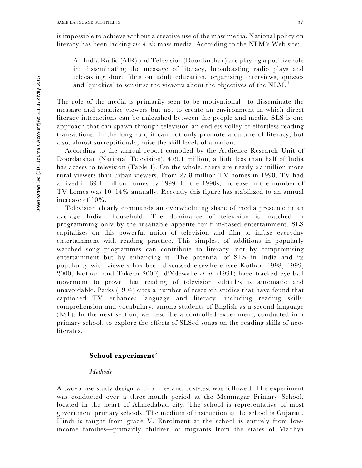is impossible to achieve without a creative use of the mass media. National policy on literacy has been lacking *vis-a`-vis* mass media. According to the NLM's Web site:

All India Radio (AIR) and Television (Doordarshan) are playing a positive role in: disseminating the message of literacy, broadcasting radio plays and telecasting short films on adult education, organizing interviews, quizzes and 'quickies' to sensitise the viewers about the objectives of the NLM.<sup>4</sup>

The role of the media is primarily seen to be motivational—to disseminate the message and sensitize viewers but not to create an environment in which direct literacy interactions can be unleashed between the people and media. SLS is one approach that can spawn through television an endless volley of effortless reading transactions. In the long run, it can not only promote a culture of literacy, but also, almost surreptitiously, raise the skill levels of a nation.

According to the annual report compiled by the Audience Research Unit of Doordarshan (National Television), 479.1 million, a little less than half of India has access to television (Table 1). On the whole, there are nearly 27 million more rural viewers than urban viewers. From 27.8 million TV homes in 1990, TV had arrived in 69.1 million homes by 1999. In the 1990s, increase in the number of TV homes was 10–14% annually. Recently this figure has stabilized to an annual increase of 10%.

Television clearly commands an overwhelming share of media presence in an average Indian household. The dominance of television is matched in programming only by the insatiable appetite for film-based entertainment. SLS capitalizes on this powerful union of television and film to infuse everyday entertainment with reading practice. This simplest of additions in popularly watched song programmes can contribute to literacy, not by compromising entertainment but by enhancing it. The potential of SLS in India and its popularity with viewers has been discussed elsewhere (see Kothari 1998, 1999, 2000, Kothari and Takeda 2000). d'Ydewalle *et al*. (1991) have tracked eye-ball movement to prove that reading of television subtitles is automatic and unavoidable. Parks (1994) cites a number of research studies that have found that captioned TV enhances language and literacy, including reading skills, comprehension and vocabulary, among students of English as a second language (ESL). In the next section, we describe a controlled experiment, conducted in a primary school, to explore the effects of SLSed songs on the reading skills of neoliterates.

# **School experiment** 5

### *Methods*

A two-phase study design with a pre- and post-test was followed. The experiment was conducted over a three-month period at the Memnagar Primary School, located in the heart of Ahmedabad city. The school is representative of most government primary schools. The medium of instruction at the school is Gujarati. Hindi is taught from grade V. Enrolment at the school is entirely from lowincome families—primarily children of migrants from the states of Madhya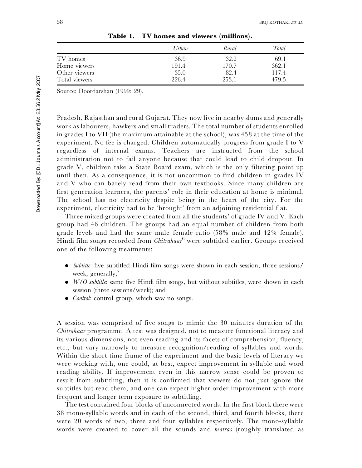|               | Urban | Rural | Total |
|---------------|-------|-------|-------|
| TV homes      | 36.9  | 32.2  | 69.1  |
| Home viewers  | 191.4 | 170.7 | 362.1 |
| Other viewers | 35.0  | 82.4  | 117.4 |
| Total viewers | 226.4 | 253.1 | 479.5 |

**Table 1. TV homes and viewers (millions).**

Source: Doordarshan (1999: 29).

Pradesh, Rajasthan and rural Gujarat. They now live in nearby slums and generally work as labourers, hawkers and small traders. The total number of students enrolled in grades I to VII (the maximum attainable at the school), was 458 at the time of the experiment. No fee is charged. Children automatically progress from grade I to V regardless of internal exams. Teachers are instructed from the school administration not to fail anyone because that could lead to child dropout. In grade V, children take a State Board exam, which is the only filtering point up until then. As a consequence, it is not uncommon to find children in grades IV and V who can barely read from their own textbooks. Since many children are first generation learners, the parents' role in their education at home is minimal. The school has no electricity despite being in the heart of the city. For the experiment, electricity had to be 'brought' from an adjoining residential flat.

Three mixed groups were created from all the students' of grade IV and V. Each group had 46 children. The groups had an equal number of children from both grade levels and had the same male–female ratio (58% male and 42% female). Hindi film songs recorded from *Chitrahaar* <sup>6</sup> were subtitled earlier. Groups received one of the following treatments:

- *Subtitle*: five subtitled Hindi film songs were shown in each session, three sessions/ week, generally; 7
- $\bullet$  *W/O subtitle*: same five Hindi film songs, but without subtitles, were shown in each session (three sessions/week); and
- . *Control*: control group, which saw no songs.

A session was comprised of five songs to mimic the 30 minutes duration of the *Chitrahaar* programme. A test was designed, not to measure functional literacy and its various dimensions, not even reading and its facets of comprehension, fluency, etc., but vary narrowly to measure recognition/reading of syllables and words. Within the short time frame of the experiment and the basic levels of literacy we were working with, one could, at best, expect improvement in syllable and word reading ability. If improvement even in this narrow sense could be proven to result from subtitling, then it is confirmed that viewers do not just ignore the subtitles but read them, and one can expect higher order improvement with more frequent and longer term exposure to subtitling.

The test contained four blocks of unconnected words. In the first block there were 38 mono-syllable words and in each of the second, third, and fourth blocks, there were 20 words of two, three and four syllables respectively. The mono-syllable words were created to cover all the sounds and *matras* (roughly translated as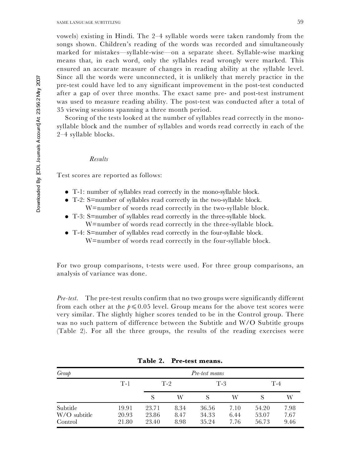vowels) existing in Hindi. The 2–4 syllable words were taken randomly from the songs shown. Children's reading of the words was recorded and simultaneously marked for mistakes—syllable-wise—on a separate sheet. Syllable-wise marking means that, in each word, only the syllables read wrongly were marked. This ensured an accurate measure of changes in reading ability at the syllable level. Since all the words were unconnected, it is unlikely that merely practice in the pre-test could have led to any significant improvement in the post-test conducted after a gap of over three months. The exact same pre- and post-test instrument was used to measure reading ability. The post-test was conducted after a total of 35 viewing sessions spanning a three month period.

Scoring of the tests looked at the number of syllables read correctly in the monosyllable block and the number of syllables and words read correctly in each of the 2–4 syllable blocks.

#### *Results*

Test scores are reported as follows:

- T-1: number of syllables read correctly in the mono-syllable block.<br>■ T-2: S=number of syllables read correctly in the two-syllable block.
- - W=number of words read correctly in the two-syllable block.
- . T-3: S=number of syllables read correctly in the three-syllable block. W=number of words read correctly in the three-syllable block.
- . T-4: S=number of syllables read correctly in the four-syllable block. W=number of words read correctly in the four-syllable block .

For two group comparisons, t-tests were used. For three group comparisons, an analysis of variance was done.

*Pre-test.* The pre-test results confirm that no two groups were significantly different from each other at the  $p \leqslant 0.05$  level. Group means for the above test scores were very similar. The slightly higher scores tended to be in the Control group. There was no such pattern of difference between the Subtitle and W/O Subtitle groups (Table 2). For all the three groups, the results of the reading exercises were

| Group                               | Pre-test means          |                         |                      |                         |                      |                         |                      |
|-------------------------------------|-------------------------|-------------------------|----------------------|-------------------------|----------------------|-------------------------|----------------------|
|                                     | $T-1$                   |                         | $T-2$                | $T-3$                   |                      | $T-4$                   |                      |
|                                     |                         |                         | W                    |                         | W                    |                         | W                    |
| Subtitle<br>W/O subtitle<br>Control | 19.91<br>20.93<br>21.80 | 23.71<br>23.86<br>23.40 | 8.34<br>8.47<br>8.98 | 36.56<br>34.33<br>35.24 | 7.10<br>6.44<br>7.76 | 54.20<br>53.07<br>56.73 | 7.98<br>7.67<br>9.46 |

**Table 2. Pre-test means.**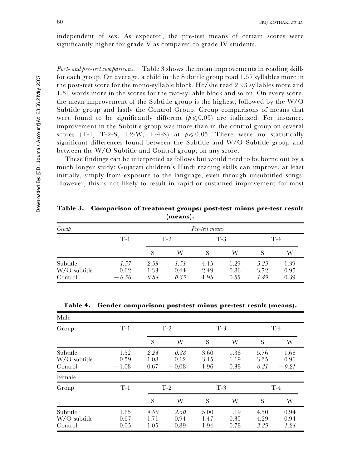independent of sex. As expected, the pre-test means of certain scores were significantly higher for grade V as compared to grade IV students.

*Post- and pre-test comparisons.* Table 3 shows the mean improvements in reading skills for each group. On average, a child in the Subtitle group read 1.57 syllables more in the post-test score for the mono-syllable block. He/she read 2.93 syllables more and 1.51 words more in the scores for the two-syllable block and so on. On every score, the mean improvement of the Subtitle group is the highest, followed by the W/O Subtitle group and lastly the Control Group. Group comparisons of means that were found to be significantly different  $(p \leq 0.05)$  are italicized. For instance, improvement in the Subtitle group was more than in the control group on several scores (T-1, T-2-S, T2-W, T-4-S) at  $p \le 0.05$ . There were no statistically significant differences found between the Subtitle and W/O Subtitle group and between the W/O Subtitle and Control group, on any score.

These findings can be interpreted as follows but would need to be borne out by a much longer study: Gujarati children's Hindi reading skills can improve, at least initially, simply from exposure to the language, even through unsubtitled songs. However, this is not likely to result in rapid or sustained improvement for most

**Table 3. Comparison of treatment groups: post-test minus pre-test result (means).**

| Group                               | Pre-test means          |                      |                      |                      |                      |                      |                      |  |
|-------------------------------------|-------------------------|----------------------|----------------------|----------------------|----------------------|----------------------|----------------------|--|
|                                     | $T-1$                   | $T-2$                |                      | $T-3$                |                      | $T-4$                |                      |  |
|                                     |                         | S                    | W                    | S                    | W                    | S                    | W                    |  |
| Subtitle<br>W/O subtitle<br>Control | 1.57<br>0.62<br>$-0.56$ | 2.93<br>1.33<br>0.84 | 1.51<br>0.44<br>0.35 | 4.15<br>2.49<br>1.95 | 1.29<br>0.86<br>0.55 | 5.29<br>3.72<br>1.49 | 1.39<br>0.95<br>0.39 |  |

| Male                                |                         |                      |                         |                      |                      |                      |                         |
|-------------------------------------|-------------------------|----------------------|-------------------------|----------------------|----------------------|----------------------|-------------------------|
| Group                               | $T-1$                   | $T-2$                |                         | $T-3$                |                      | $T-4$                |                         |
|                                     |                         | S                    | W                       | S                    | W                    | S                    | W                       |
| Subtitle<br>W/O subtitle<br>Control | 1.52<br>0.59<br>$-1.08$ | 2.24<br>1.08<br>0.67 | 0.88<br>0.12<br>$-0.08$ | 3.60<br>3.15<br>1.96 | 1.36<br>1.19<br>0.38 | 5.76<br>3.35<br>0.21 | 1.68<br>0.96<br>$-0.21$ |
| Female                              |                         |                      |                         |                      |                      |                      |                         |
| Group                               | $T-1$                   | $T-2$                |                         |                      | $T-3$                |                      | $T-4$                   |
|                                     |                         | S                    | W                       | S                    | W                    | S                    | W                       |
| Subtitle<br>W/O subtitle<br>Control | 1.65<br>0.67<br>0.05    | 4.00<br>1.71<br>1.05 | 2.50<br>0.94<br>0.89    | 5.00<br>1.47<br>1.94 | 1.19<br>0.35<br>0.78 | 4.50<br>4.29<br>3.29 | 0.94<br>0.94<br>1.24    |

**Table 4. Gender comparison: post-test minus pre-test result (means).**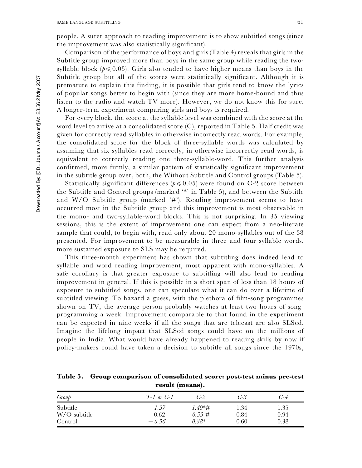people. A surer approach to reading improvement is to show subtitled songs (since the improvement was also statistically significant).

Comparison of the performance of boys and girls (Table 4) reveals that girls in the Subtitle group improved more than boys in the same group while reading the twosyllable block  $(p \le 0.05)$ . Girls also tended to have higher means than boys in the Subtitle group but all of the scores were statistically significant. Although it is premature to explain this finding, it is possible that girls tend to know the lyrics of popular songs better to begin with (since they are more home-bound and thus listen to the radio and watch TV more). However, we do not know this for sure. A longer-term experiment comparing girls and boys is required.

For every block, the score at the syllable level was combined with the score at the word level to arrive at a consolidated score (C), reported in Table 5. Half credit was given for correctly read syllables in otherwise incorrectly read words. For example, the consolidated score for the block of three-syllable words was calculated by assuming that six syllables read correctly, in otherwise incorrectly read words, is equivalent to correctly reading one three-syllable-word. This further analysis confirmed, more firmly, a similar pattern of statistically significant improvement in the subtitle group over, both, the Without Subtitle and Control groups (Table 5).

Statistically significant differences  $(p \leq 0.05)$  were found on C-2 score between the Subtitle and Control groups (marked '\*' in Table 5), and between the Subtitle and W/O Subtitle group (marked '#'). Reading improvement seems to have occurred most in the Subtitle group and this improvement is most observable in the mono- and two-syllable-word blocks. This is not surprising. In 35 viewing sessions, this is the extent of improvement one can expect from a neo-literate sample that could, to begin with, read only about 20 mono-syllables out of the 38 presented. For improvement to be measurable in three and four syllable words, more sustained exposure to SLS may be required.

This three-month experiment has shown that subtitling does indeed lead to syllable and word reading improvement, most apparent with mono-syllables. A safe corollary is that greater exposure to subtitling will also lead to reading improvement in general. If this is possible in a short span of less than 18 hours of exposure to subtitled songs, one can speculate what it can do over a lifetime of subtitled viewing. To hazard a guess, with the plethora of film-song programmes shown on TV, the average person probably watches at least two hours of songprogramming a week. Improvement comparable to that found in the experiment can be expected in nine weeks if all the songs that are telecast are also SLSed. Imagine the lifelong impact that SLSed songs could have on the millions of people in India. What would have already happened to reading skills by now if policy-makers could have taken a decision to subtitle all songs since the 1970s,

**Table 5. Group comparison of consolidated score: post-test minus pre-test result (means).**

| Group                    | $T-1$ or $C-1$ | C-2                    | $C-3$        | $C - 4$      |
|--------------------------|----------------|------------------------|--------------|--------------|
| Subtitle<br>W/O subtitle | 1.57<br>0.62   | $1.49*$ #<br>$0.55 \#$ | 1.34<br>0.84 | 1.35<br>0.94 |
| Control                  | $-.56$         | $0.38*$                | 0.60         | 0.38         |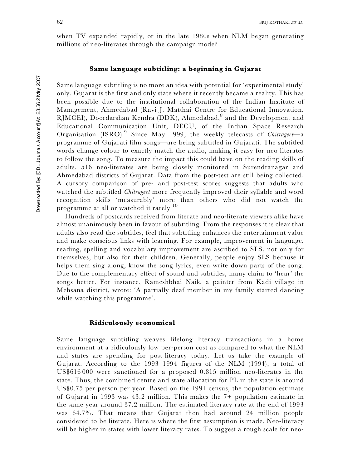when TV expanded rapidly, or in the late 1980s when NLM began generating millions of neo-literates through the campaign mode?

# **Same language subtitling: a beginning in Gujarat**

Same language subtitling is no more an idea with potential for 'experimental study' only. Gujarat is the first and only state where it recently became a reality. This has been possible due to the institutional collaboration of the Indian Institute of Management, Ahmedabad (Ravi J. Matthai Centre for Educational Innovation, RJMCEI), Doordarshan Kendra (DDK), Ahmedabad, 8 and the Development and Educational Communication Unit, DECU, of the Indian Space Research Organisation (ISRO). 9 Since May 1999, the weekly telecasts of *Chitrageet*—a programme of Gujarati film songs—are being subtitled in Gujarati. The subtitled words change colour to exactly match the audio, making it easy for neo-literates to follow the song. To measure the impact this could have on the reading skills of adults, 516 neo-literates are being closely monitored in Surendranagar and Ahmedabad districts of Gujarat. Data from the post-test are still being collected. A cursory comparison of pre- and post-test scores suggests that adults who watched the subtitled *Chitrageet* more frequently improved their syllable and word recognition skills 'measurably' more than others who did not watch the programme at all or watched it rarely.<sup>10</sup>

Hundreds of postcards received from literate and neo-literate viewers alike have almost unanimously been in favour of subtitling. From the responses it is clear that adults also read the subtitles, feel that subtitling enhances the entertainment value and make conscious links with learning. For example, improvement in language, reading, spelling and vocabulary improvement are ascribed to SLS, not only for themselves, but also for their children. Generally, people enjoy SLS because it helps them sing along, know the song lyrics, even write down parts of the song. Due to the complementary effect of sound and subtitles, many claim to 'hear' the songs better. For instance, Rameshbhai Naik, a painter from Kadi village in Mehsana district, wrote: 'A partially deaf member in my family started dancing while watching this programme'.

#### **Ridiculously economical**

Same language subtitling weaves lifelong literacy transactions in a home environment at a ridiculously low per-person cost as compared to what the NLM and states are spending for post-literacy today. Let us take the example of Gujarat. According to the 1993–1994 figures of the NLM (1994), a total of US\$616 000 were sanctioned for a proposed 0.815 million neo-literates in the state. Thus, the combined centre and state allocation for PL in the state is around US\$0.75 per person per year. Based on the 1991 census, the population estimate of Gujarat in 1993 was 43.2 million. This makes the 7+ population estimate in the same year around 37.2 million. The estimated literacy rate at the end of 1993 was 64.7%. That means that Gujarat then had around 24 million people considered to be literate. Here is where the first assumption is made. Neo-literacy will be higher in states with lower literacy rates. To suggest a rough scale for neo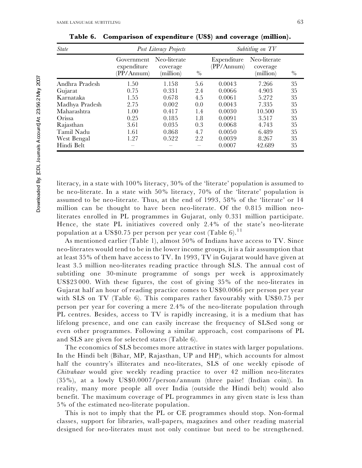Downloaded By: [CDL Journals Account] At: 23:56 2 May 2007

Downloaded By: [CDL Journals Account] At 23:56 2 May 2007

| <i>State</i>   |                                         | Post Literacy Projects                | Subtitling on TV |                           |                                       |               |
|----------------|-----------------------------------------|---------------------------------------|------------------|---------------------------|---------------------------------------|---------------|
|                | Government<br>expenditure<br>(PP/Annum) | Neo-literate<br>coverage<br>(million) | $\frac{0}{0}$    | Expenditure<br>(PP/Annum) | Neo-literate<br>coverage<br>(million) | $\sqrt[0]{0}$ |
| Andhra Pradesh | 1.50                                    | 1.158                                 | 5.6              | 0.0043                    | 7.266                                 | 35            |
| Gujarat        | 0.75                                    | 0.331                                 | 2.4              | 0.0066                    | 4.903                                 | 35            |
| Karnataka      | 1.55                                    | 0.678                                 | 4.5              | 0.0061                    | 5.272                                 | 35            |
| Madhya Pradesh | 2.75                                    | 0.002                                 | 0.0              | 0.0043                    | 7.335                                 | 35            |
| Maharashtra    | 1.00                                    | 0.417                                 | 1.4              | 0.0030                    | 10.500                                | 35            |
| Orissa         | 0.25                                    | 0.185                                 | 1.8              | 0.0091                    | 3.517                                 | 35            |
| Rajasthan      | 3.61                                    | 0.035                                 | 0.3              | 0.0068                    | 4.743                                 | 35            |
| Tamil Nadu     | 1.61                                    | 0.868                                 | 4.7              | 0.0050                    | 6.489                                 | 35            |
| West Bengal    | 1.27                                    | 0.522                                 | 2.2              | 0.0039                    | 8.267                                 | 35            |
| Hindi Belt     |                                         |                                       |                  | 0.0007                    | 42.689                                | 35            |

**Table 6. Comparison of expenditure (US\$) and coverage (million).**

literacy, in a state with 100% literacy, 30% of the 'literate' population is assumed to be neo-literate. In a state with 50% literacy, 70% of the 'literate' population is assumed to be neo-literate. Thus, at the end of 1993, 58% of the 'literate' or 14 million can be thought to have been neo-literate. Of the 0.815 million neoliterates enrolled in PL programmes in Gujarat, only 0.331 million participate. Hence, the state PL initiatives covered only 2.4% of the state's neo-literate population at a US\$0.75 per person per year cost (Table 6).<sup>11</sup>

As mentioned earlier (Table 1), almost 50% of Indians have access to TV. Since neo-literates would tend to be in the lower income groups, it is a fair assumption that at least 35% of them have access to TV. In 1993, TV in Gujarat would have given at least 3.5 million neo-literates reading practice through SLS. The annual cost of subtitling one 30-minute programme of songs per week is approximately US\$23 000. With these figures, the cost of giving 35% of the neo-literates in Gujarat half an hour of reading practice comes to US\$0.0066 per person per year with SLS on TV (Table 6). This compares rather favourably with US\$0.75 per person per year for covering a mere 2.4% of the neo-literate population through PL centres. Besides, access to TV is rapidly increasing, it is a medium that has lifelong presence, and one can easily increase the frequency of SLSed song or even other programmes. Following a similar approach, cost comparisons of PL and SLS are given for selected states (Table 6).

The economics of SLS becomes more attractive in states with larger populations. In the Hindi belt (Bihar, MP, Rajasthan, UP and HP), which accounts for almost half the country's illiterates and neo-literates, SLS of one weekly episode of *Chitrahaar* would give weekly reading practice to over 42 million neo-literates (35%), at a lowly US\$0.0007/person/annum (three paise! (Indian coin)). In reality, many more people all over India (outside the Hindi belt) would also benefit. The maximum coverage of PL programmes in any given state is less than 5% of the estimated neo-literate population.

This is not to imply that the PL or CE programmes should stop. Non-formal classes, support for libraries, wall-papers, magazines and other reading material designed for neo-literates must not only continue but need to be strengthened.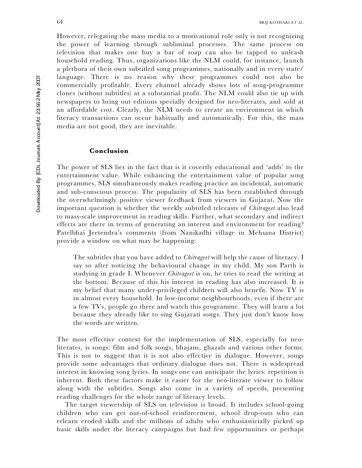However, relegating the mass media to a motivational role only is not recognizing the power of learning through subliminal processes. The same process on television that makes one buy a bar of soap can also be tapped to unleash household reading. Thus, organizations like the NLM could, for instance, launch a plethora of their own subtitled song programmes, nationally and in every state/ language. There is no reason why these programmes could not also be commercially profitable. Every channel already shows lots of song-programme clones (without subtitles) at a substantial profit. The NLM could also tie up with newspapers to bring out editions specially designed for neo-literates, and sold at an affordable cost. Clearly, the NLM needs to create an environment in which literacy transactions can occur habitually and automatically. For this, the mass media are not good, they are inevitable.

# **Conclusion**

The power of SLS lies in the fact that is it covertly educational and 'adds' to the entertainment value. While enhancing the entertainment value of popular song programmes, SLS simultaneously makes reading practice an incidental, automatic and sub-conscious process. The popularity of SLS has been established through the overwhelmingly positive viewer feedback from viewers in Gujarat. Now the important question is whether the weekly subtitled telecasts of *Chitrageet* also lead to mass-scale improvement in reading skills. Further, what secondary and indirect effects are there in terms of generating an interest and environment for reading? Patelbhai Jeetendra's comments (from Nanikadhi village in Mehsana District) provide a window on what may be happening:

The subtitles that you have added to *Chitrageet* will help the cause of literacy. I say so after noticing the behavioural change in my child. My son Parth is studying in grade I. Whenever *Chitrageet* is on, he tries to read the writing at the bottom. Because of this his interest in reading has also increased. It is my belief that many under-privileged children will also benefit. Now TV is in almost every household. In low-income neighbourhoods, even if there are a few TVs, people go there and watch this programme. They will learn a lot because they already like to sing Gujarati songs. They just don't know how the words are written.

The most effective context for the implementation of SLS, especially for neoliterates, is songs: film and folk songs, bhajans, ghazals and various other forms. This is not to suggest that it is not also effective in dialogue. However, songs provide some advantages that ordinary dialogue does not. There is widespread interest in knowing song lyrics. In songs one can anticipate the lyrics: repetition is inherent. Both these factors make it easier for the neo-literate viewer to follow along with the subtitles. Songs also come in a variety of speeds, presenting reading challenges for the whole range of literacy levels.

The target viewership of SLS on television is broad. It includes school-going children who can get out-of-school reinforcement, school drop-outs who can relearn eroded skills and the millions of adults who enthusiasticially picked up basic skills under the literacy campaigns but had few opportunities or perhaps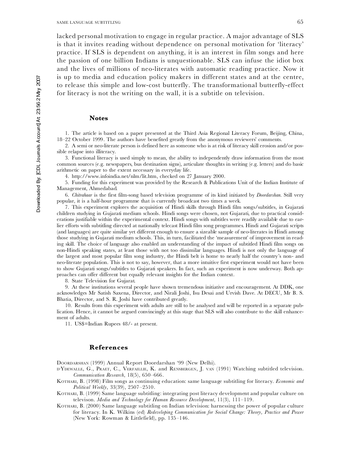lacked personal motivation to engage in regular practice. A major advantage of SLS is that it invites reading without dependence on personal motivation for 'literacy' practice. If SLS is dependent on anything, it is an interest in film songs and here the passion of one billion Indians is unquestionable. SLS can infuse the idiot box and the lives of millions of neo-literates with automatic reading practice. Now it is up to media and education policy makers in different states and at the centre, to release this simple and low-cost butterfly. The transformational butterfly-effect for literacy is not the writing on the wall, it is a subtitle on television.

# **Notes**

1. The article is based on a paper presented at the Third Asia Regional Literacy Forum, Beijing, China, 18–22 October 1999. The authors have benefited greatly from the anonymous reviewers' comments.

2. A semi or neo-literate person is defined here as someone who is at risk of literacy skill erosion and/or possible relapse into illiteracy.

3. Functional literacy is used simply to mean, the ability to independently draw information from the most common sources (e.g. newspapers, bus destination signs), articulate thoughts in writing (e.g. letters) and do basic arithmetic on paper to the extent necessary in everyday life.

4. http://www.infoindia.net/nlm/lit.htm, checked on 27 January 2000.

5. Funding for this experiment was provided by the Research & Publications Unit of the Indian Institute of Management, Ahmedabad.

6. *Chitrahaar* is the first film-song based television programme of its kind initiated by *Doordarshan*. Still very popular, it is a half-hour programme that is currently broadcast two times a week.

7. This experiment explores the acquisition of Hindi skills through Hindi film songs/subtitles, in Gujarati children studying in Gujarati medium schools. Hindi songs were chosen, not Gujarati, due to practical consid erations justifiable within the experimental context. Hindi songs with subtitles were readily available due to earlier efforts with subtitling directed at nationally telecast Hindi film song programmes. Hindi and Gujarati scripts (and languages) are quite similar yet different enough to ensure a sizeable sample of neo-literates in Hindi among those studying in Gujarati medium schools. This, in turn, facilitated the 'measurement' of improvement in reading skill. The choice of language also enabled an understanding of the impact of subtitled Hindi film songs on non-Hindi speaking states, at least those with not too dissimilar languages. Hindi is not only the language of the largest and most popular film song industry, the Hindi belt is home to nearly half the country's non- and neo-literate population. This is not to say, however, that a more intuitive first experiment would not have been to show Gujarati songs/subtitles to Gujarati speakers. In fact, such an experiment is now underway. Both approaches can offer different but equally relevant insights for the Indian context.

8. State Television for Gujarat.

9. At these institutions several people have shown tremendous initiative and encouragement. At DDK, one acknowledges Mr Satish Saxena, Director, and Nirali Joshi, Isu Desai and Urvish Dave. At DECU, Mr B. S. Bhatia, Director, and S. R. Joshi have contributed greatly.

10. Results from this experiment with adults are still to be analysed and will be reported in a separate publication. Hence, it cannot be argued convincingly at this stage that SLS will also contribute to the skill enhancement of adults.

11. US\$=Indian Rupees 48/- at present.

#### **References**

DOORDARSHAN (1999) Annual Report Doordarshan '99 (New Delhi).

D' YDEWALLE, G., PRAET, C., VERFAILLIE, K. and RENSBERGEN, J. VAN (1991) Watching subtitled television. *Communication Research*, 18(5), 650–666.

KOTHARI, B. (1998) Film songs as continuing education: same language subtitling for literacy. *Economic and Political Weekly*, 33(39), 2507–2510.

KOTHARI, B. (1999) Same language subtitling: integrating post literacy development and popular culture on televison. *Media and Technology for Human Resource Development*, 11(3), 111–119.

KOTHARI, B. (2000) Same language subtitling on Indian television: harnessing the power of popular culture for literacy. In K. Wilkins (ed) *Redeveloping Communication for Social Change: Theory, Practice and Power* (New York: Rowman & Littlefield), pp. 135–146.